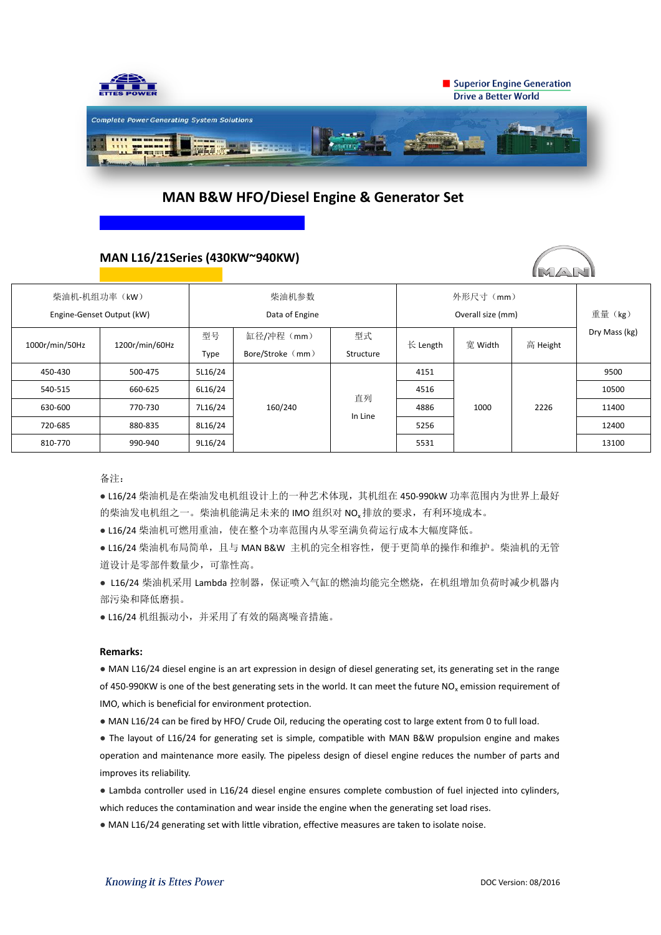

# **MAN B&W HFO/Diesel Engine & Generator Set**

## **MAN L16/21Series (430KW~940KW)**

| 柴油机-机组功率(kW)<br>Engine-Genset Output (kW) |                | 柴油机参数<br>Data of Engine |                  |               | 外形尺寸 (mm)<br>Overall size (mm) |         |          | 重量 (kg)       |
|-------------------------------------------|----------------|-------------------------|------------------|---------------|--------------------------------|---------|----------|---------------|
| 1000r/min/50Hz                            | 1200r/min/60Hz | 型号                      | 缸径/冲程 (mm)       | 型式            | $\forall$ Length               | 宽 Width | 高 Height | Dry Mass (kg) |
|                                           |                | Type                    | Bore/Stroke (mm) | Structure     |                                |         |          |               |
| 450-430                                   | 500-475        | 5L16/24                 | 160/240          | 直列<br>In Line | 4151                           | 1000    | 2226     | 9500          |
| 540-515                                   | 660-625        | 6L16/24                 |                  |               | 4516                           |         |          | 10500         |
| 630-600                                   | 770-730        | 7L16/24                 |                  |               | 4886                           |         |          | 11400         |
| 720-685                                   | 880-835        | 8L16/24                 |                  |               | 5256                           |         |          | 12400         |
| 810-770                                   | 990-940        | 9L16/24                 |                  |               | 5531                           |         |          | 13100         |

备注:

● L16/24 柴油机是在柴油发电机组设计上的一种艺术体现, 其机组在 450-990kW 功率范围内为世界上最好 的柴油发电机组之一。柴油机能满足未来的 IMO 组织对 NO<sub>x</sub>排放的要求, 有利环境成本。

● L16/24 柴油机可燃用重油, 使在整个功率范围内从零至满负荷运行成本大幅度降低。

● L16/24 柴油机布局简单, 且与 MAN B&W 主机的完全相容性, 便于更简单的操作和维护。柴油机的无管 道设计是零部件数量少,可靠性高。

● L16/24 柴油机采用 Lambda 控制器, 保证喷入气缸的燃油均能完全燃烧, 在机组增加负荷时减少机器内 部污染和降低磨损。

● L16/24 机组振动小,并采用了有效的隔离噪音措施。

### **Remarks:**

● MAN L16/24 diesel engine is an art expression in design of diesel generating set, its generating set in the range of 450-990KW is one of the best generating sets in the world. It can meet the future NO<sub>x</sub> emission requirement of IMO, which is beneficial for environment protection.

● MAN L16/24 can be fired by HFO/ Crude Oil, reducing the operating cost to large extent from 0 to full load.

● The layout of L16/24 for generating set is simple, compatible with MAN B&W propulsion engine and makes operation and maintenance more easily. The pipeless design of diesel engine reduces the number of parts and improves its reliability.

● Lambda controller used in L16/24 diesel engine ensures complete combustion of fuel injected into cylinders, which reduces the contamination and wear inside the engine when the generating set load rises.

● MAN L16/24 generating set with little vibration, effective measures are taken to isolate noise.